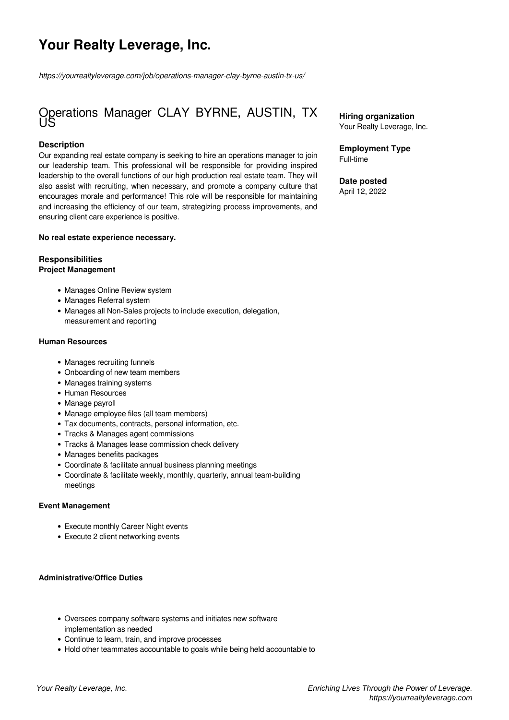# **Your Realty Leverage, Inc.**

*https://yourrealtyleverage.com/job/operations-manager-clay-byrne-austin-tx-us/*

## Operations Manager CLAY BYRNE, AUSTIN, TX US

#### **Description**

Our expanding real estate company is seeking to hire an operations manager to join our leadership team. This professional will be responsible for providing inspired leadership to the overall functions of our high production real estate team. They will also assist with recruiting, when necessary, and promote a company culture that encourages morale and performance! This role will be responsible for maintaining and increasing the efficiency of our team, strategizing process improvements, and ensuring client care experience is positive.

#### **No real estate experience necessary.**

#### **Responsibilities Project Management**

- Manages Online Review system
- Manages Referral system
- Manages all Non-Sales projects to include execution, delegation, measurement and reporting

#### **Human Resources**

- Manages recruiting funnels
- Onboarding of new team members
- Manages training systems
- Human Resources
- Manage payroll
- Manage employee files (all team members)
- Tax documents, contracts, personal information, etc.
- Tracks & Manages agent commissions
- Tracks & Manages lease commission check delivery
- Manages benefits packages
- Coordinate & facilitate annual business planning meetings
- Coordinate & facilitate weekly, monthly, quarterly, annual team-building meetings

#### **Event Management**

- Execute monthly Career Night events
- Execute 2 client networking events

#### **Administrative/Office Duties**

- Oversees company software systems and initiates new software implementation as needed
- Continue to learn, train, and improve processes
- Hold other teammates accountable to goals while being held accountable to

**Hiring organization** Your Realty Leverage, Inc.

#### **Employment Type** Full-time

#### **Date posted**

April 12, 2022